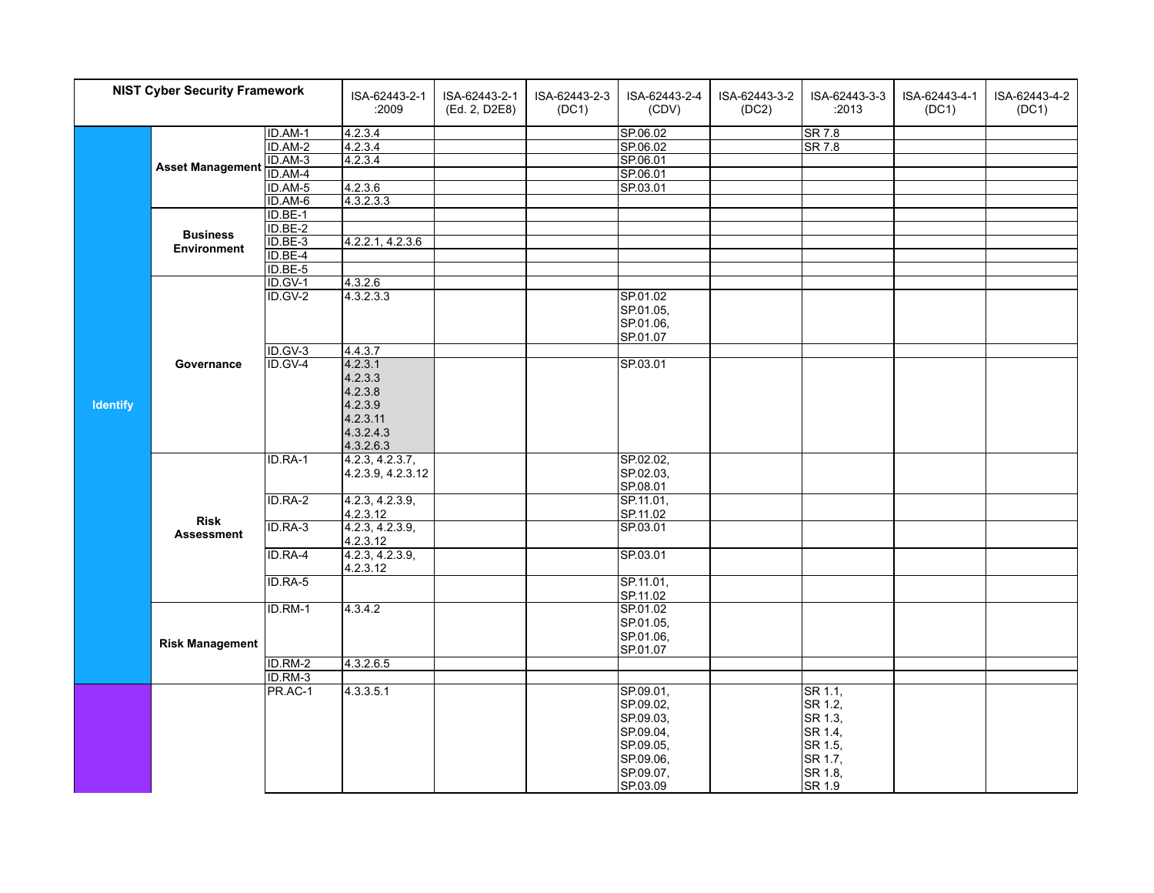| <b>NIST Cyber Security Framework</b> |                                  | ISA-62443-2-1<br>:2009 | ISA-62443-2-1<br>(Ed. 2, D2E8) | ISA-62443-2-3<br>(DC1) | ISA-62443-2-4<br>(CDV) | ISA-62443-3-2<br>(DC2) | ISA-62443-3-3<br>:2013 | ISA-62443-4-1<br>(DC1) | ISA-62443-4-2<br>(DC1) |  |
|--------------------------------------|----------------------------------|------------------------|--------------------------------|------------------------|------------------------|------------------------|------------------------|------------------------|------------------------|--|
|                                      |                                  | ID.AM-1                | 4.2.3.4                        |                        |                        | SP.06.02               |                        | <b>SR 7.8</b>          |                        |  |
|                                      |                                  | ID.AM-2                | 4.2.3.4                        |                        |                        | SP.06.02               |                        | <b>SR 7.8</b>          |                        |  |
|                                      | <b>Asset Management</b>          | $ID.AM-3$              | 4.2.3.4                        |                        |                        | SP.06.01               |                        |                        |                        |  |
|                                      |                                  | ID.AM-4                |                                |                        |                        | SP.06.01               |                        |                        |                        |  |
|                                      |                                  | ID.AM-5                | 4.2.3.6                        |                        |                        | SP.03.01               |                        |                        |                        |  |
|                                      |                                  | ID.AM-6                | 4.3.2.3.3                      |                        |                        |                        |                        |                        |                        |  |
|                                      |                                  | ID.BE-1                |                                |                        |                        |                        |                        |                        |                        |  |
|                                      | <b>Business</b>                  | ID.BE-2                |                                |                        |                        |                        |                        |                        |                        |  |
|                                      | <b>Environment</b>               | ID.BE-3                | 4.2.2.1, 4.2.3.6               |                        |                        |                        |                        |                        |                        |  |
|                                      |                                  | ID.BE-4                |                                |                        |                        |                        |                        |                        |                        |  |
|                                      |                                  | ID.BE-5                |                                |                        |                        |                        |                        |                        |                        |  |
|                                      |                                  | $ID.GV-1$              | 4.3.2.6                        |                        |                        |                        |                        |                        |                        |  |
|                                      |                                  | $ID.GV-2$              | 4.3.2.3.3                      |                        |                        | SP.01.02               |                        |                        |                        |  |
|                                      |                                  |                        |                                |                        |                        | SP.01.05,              |                        |                        |                        |  |
|                                      |                                  |                        |                                |                        |                        | SP.01.06,              |                        |                        |                        |  |
|                                      |                                  |                        |                                |                        |                        | SP.01.07               |                        |                        |                        |  |
|                                      |                                  | ID.GV-3<br>ID.GV-4     | 4.4.3.7<br>4.2.3.1             |                        |                        | SP.03.01               |                        |                        |                        |  |
|                                      | Governance                       |                        | 4.2.3.3                        |                        |                        |                        |                        |                        |                        |  |
|                                      |                                  |                        | 4.2.3.8                        |                        |                        |                        |                        |                        |                        |  |
|                                      |                                  |                        | 4.2.3.9                        |                        |                        |                        |                        |                        |                        |  |
| <b>Identify</b>                      |                                  |                        | 4.2.3.11                       |                        |                        |                        |                        |                        |                        |  |
|                                      |                                  |                        | 4.3.2.4.3                      |                        |                        |                        |                        |                        |                        |  |
|                                      |                                  |                        | 4.3.2.6.3                      |                        |                        |                        |                        |                        |                        |  |
|                                      |                                  | ID.RA-1                | 4.2.3, 4.2.3.7,                |                        |                        | SP.02.02,              |                        |                        |                        |  |
|                                      |                                  |                        | 4.2.3.9, 4.2.3.12              |                        |                        | SP.02.03,              |                        |                        |                        |  |
|                                      |                                  |                        |                                |                        |                        | SP.08.01               |                        |                        |                        |  |
|                                      |                                  | ID.RA-2                | 4.2.3, 4.2.3.9,                |                        |                        | SP.11.01,              |                        |                        |                        |  |
|                                      |                                  |                        | 4.2.3.12                       |                        |                        | SP.11.02               |                        |                        |                        |  |
|                                      | <b>Risk</b><br><b>Assessment</b> | ID.RA-3                | 4.2.3, 4.2.3.9,                |                        |                        | SP.03.01               |                        |                        |                        |  |
|                                      |                                  |                        | 4.2.3.12                       |                        |                        |                        |                        |                        |                        |  |
|                                      |                                  | ID.RA-4                | 4.2.3, 4.2.3.9,                |                        |                        | SP.03.01               |                        |                        |                        |  |
|                                      |                                  |                        | 4.2.3.12                       |                        |                        |                        |                        |                        |                        |  |
|                                      |                                  | ID.RA-5                |                                |                        |                        | SP.11.01,              |                        |                        |                        |  |
|                                      |                                  |                        |                                |                        |                        | SP.11.02               |                        |                        |                        |  |
|                                      |                                  | ID.RM-1                | 4.3.4.2                        |                        |                        | SP.01.02               |                        |                        |                        |  |
|                                      |                                  |                        |                                |                        |                        | SP.01.05,              |                        |                        |                        |  |
|                                      | <b>Risk Management</b>           |                        |                                |                        |                        | SP.01.06,              |                        |                        |                        |  |
|                                      |                                  |                        |                                |                        |                        | SP.01.07               |                        |                        |                        |  |
|                                      |                                  | ID.RM-2<br>ID.RM-3     | 4.3.2.6.5                      |                        |                        |                        |                        |                        |                        |  |
|                                      |                                  | PR.AC-1                | 4.3.3.5.1                      |                        |                        | SP.09.01,              |                        | SR 1.1,                |                        |  |
|                                      |                                  |                        |                                |                        |                        | SP.09.02,              |                        | SR 1.2,                |                        |  |
|                                      |                                  |                        |                                |                        |                        | SP.09.03,              |                        | SR 1.3,                |                        |  |
|                                      |                                  |                        |                                |                        |                        | SP.09.04,              |                        | SR 1.4,                |                        |  |
|                                      |                                  |                        |                                |                        |                        | SP.09.05,              |                        | SR 1.5,                |                        |  |
|                                      |                                  |                        |                                |                        |                        | SP.09.06,              |                        | SR 1.7,                |                        |  |
|                                      |                                  |                        |                                |                        |                        | SP.09.07,              |                        | SR 1.8,                |                        |  |
|                                      |                                  |                        |                                |                        |                        | SP.03.09               |                        | SR 1.9                 |                        |  |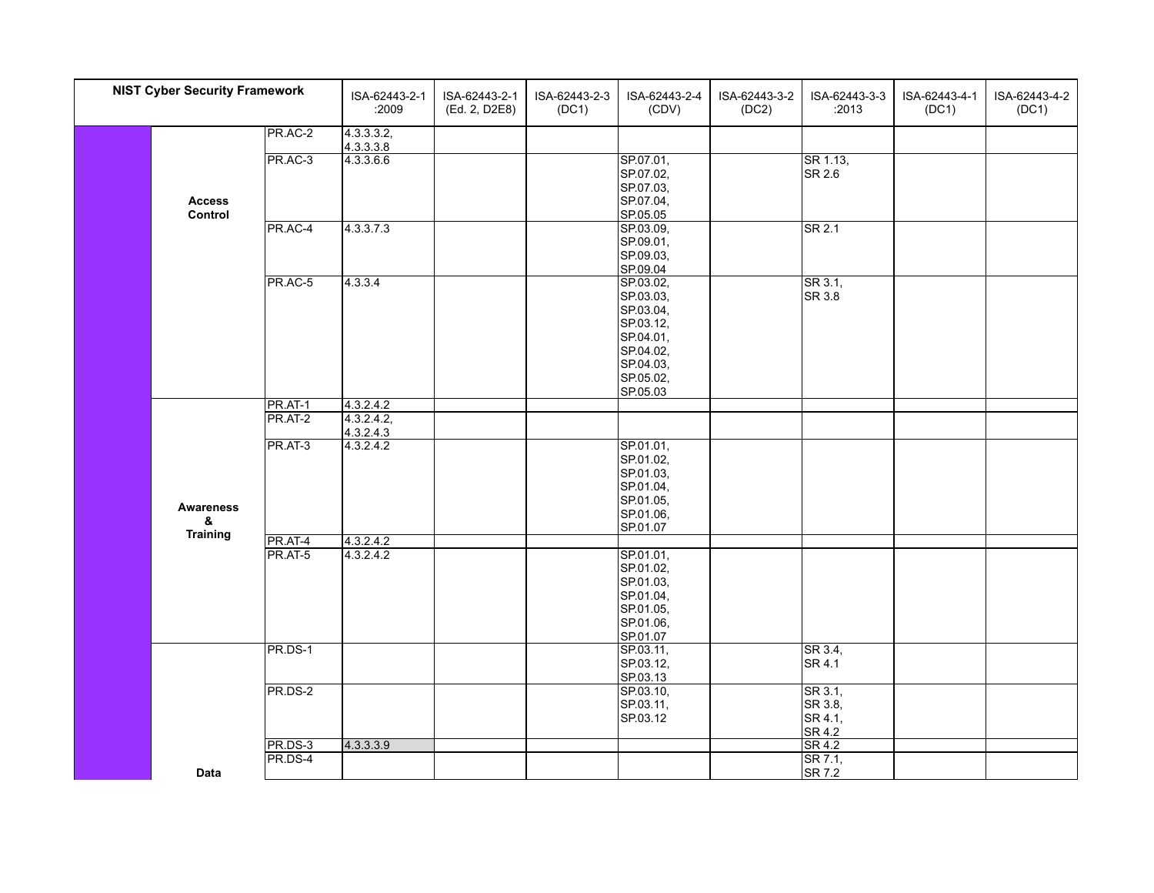| <b>NIST Cyber Security Framework</b> |                      |         | ISA-62443-2-1<br>:2009 | ISA-62443-2-1<br>(Ed. 2, D2E8) | ISA-62443-2-3<br>(DC1) | ISA-62443-2-4<br>(CDV) | ISA-62443-3-2<br>(DC2) | ISA-62443-3-3<br>:2013     | ISA-62443-4-1<br>(DC1) | ISA-62443-4-2<br>(DC1) |
|--------------------------------------|----------------------|---------|------------------------|--------------------------------|------------------------|------------------------|------------------------|----------------------------|------------------------|------------------------|
|                                      |                      | PR.AC-2 | 4.3.3.3.2,             |                                |                        |                        |                        |                            |                        |                        |
|                                      |                      |         | 4.3.3.3.8              |                                |                        |                        |                        |                            |                        |                        |
|                                      |                      | PR.AC-3 | 4.3.3.6.6              |                                |                        | SP.07.01,              |                        | SR 1.13,                   |                        |                        |
|                                      |                      |         |                        |                                |                        | SP.07.02,              |                        | SR 2.6                     |                        |                        |
|                                      |                      |         |                        |                                |                        | SP.07.03,              |                        |                            |                        |                        |
|                                      | <b>Access</b>        |         |                        |                                |                        | SP.07.04,              |                        |                            |                        |                        |
|                                      | Control              | PR.AC-4 | 4.3.3.7.3              |                                |                        | SP.05.05<br>SP.03.09,  |                        | SR 2.1                     |                        |                        |
|                                      |                      |         |                        |                                |                        | SP.09.01,              |                        |                            |                        |                        |
|                                      |                      |         |                        |                                |                        | SP.09.03,              |                        |                            |                        |                        |
|                                      |                      |         |                        |                                |                        | SP.09.04               |                        |                            |                        |                        |
|                                      |                      | PR.AC-5 | 4.3.3.4                |                                |                        | SP.03.02,              |                        | SR 3.1,                    |                        |                        |
|                                      |                      |         |                        |                                |                        | SP.03.03,              |                        | SR 3.8                     |                        |                        |
|                                      |                      |         |                        |                                |                        | SP.03.04,              |                        |                            |                        |                        |
|                                      |                      |         |                        |                                |                        | SP.03.12,              |                        |                            |                        |                        |
|                                      |                      |         |                        |                                |                        | SP.04.01,              |                        |                            |                        |                        |
|                                      |                      |         |                        |                                |                        | SP.04.02,              |                        |                            |                        |                        |
|                                      |                      |         |                        |                                |                        | SP.04.03,              |                        |                            |                        |                        |
|                                      |                      |         |                        |                                |                        | SP.05.02,              |                        |                            |                        |                        |
|                                      |                      |         |                        |                                |                        | SP.05.03               |                        |                            |                        |                        |
|                                      |                      | PR.AT-1 | 4.3.2.4.2              |                                |                        |                        |                        |                            |                        |                        |
|                                      |                      | PR.AT-2 | 4.3.2.4.2,             |                                |                        |                        |                        |                            |                        |                        |
|                                      |                      | PR.AT-3 | 4.3.2.4.3<br>4.3.2.4.2 |                                |                        | SP.01.01,              |                        |                            |                        |                        |
|                                      |                      |         |                        |                                |                        | SP.01.02,              |                        |                            |                        |                        |
|                                      |                      |         |                        |                                |                        | SP.01.03,              |                        |                            |                        |                        |
|                                      |                      |         |                        |                                |                        | SP.01.04,              |                        |                            |                        |                        |
|                                      |                      |         |                        |                                |                        | SP.01.05,              |                        |                            |                        |                        |
|                                      | <b>Awareness</b>     |         |                        |                                |                        | SP.01.06,              |                        |                            |                        |                        |
|                                      | &<br><b>Training</b> |         |                        |                                |                        | SP.01.07               |                        |                            |                        |                        |
|                                      |                      | PR.AT-4 | 4.3.2.4.2              |                                |                        |                        |                        |                            |                        |                        |
|                                      |                      | PR.AT-5 | 4.3.2.4.2              |                                |                        | SP.01.01,              |                        |                            |                        |                        |
|                                      |                      |         |                        |                                |                        | SP.01.02,              |                        |                            |                        |                        |
|                                      |                      |         |                        |                                |                        | SP.01.03,              |                        |                            |                        |                        |
|                                      |                      |         |                        |                                |                        | SP.01.04,              |                        |                            |                        |                        |
|                                      |                      |         |                        |                                |                        | SP.01.05,<br>SP.01.06, |                        |                            |                        |                        |
|                                      |                      |         |                        |                                |                        | SP.01.07               |                        |                            |                        |                        |
|                                      |                      | PR.DS-1 |                        |                                |                        | SP.03.11,              |                        | SR 3.4,                    |                        |                        |
|                                      |                      |         |                        |                                |                        | SP.03.12,              |                        | SR 4.1                     |                        |                        |
|                                      |                      |         |                        |                                |                        | SP.03.13               |                        |                            |                        |                        |
|                                      |                      | PR.DS-2 |                        |                                |                        | SP.03.10,              |                        | SR 3.1,                    |                        |                        |
|                                      |                      |         |                        |                                |                        | SP.03.11,              |                        | SR 3.8,                    |                        |                        |
|                                      |                      |         |                        |                                |                        | SP.03.12               |                        | SR 4.1,                    |                        |                        |
|                                      |                      |         |                        |                                |                        |                        |                        | SR 4.2                     |                        |                        |
|                                      |                      | PR.DS-3 | 4.3.3.3.9              |                                |                        |                        |                        | SR 4.2                     |                        |                        |
|                                      |                      | PR.DS-4 |                        |                                |                        |                        |                        | $\overline{\text{SR 7.1}}$ |                        |                        |
|                                      | <b>Data</b>          |         |                        |                                |                        |                        |                        | SR 7.2                     |                        |                        |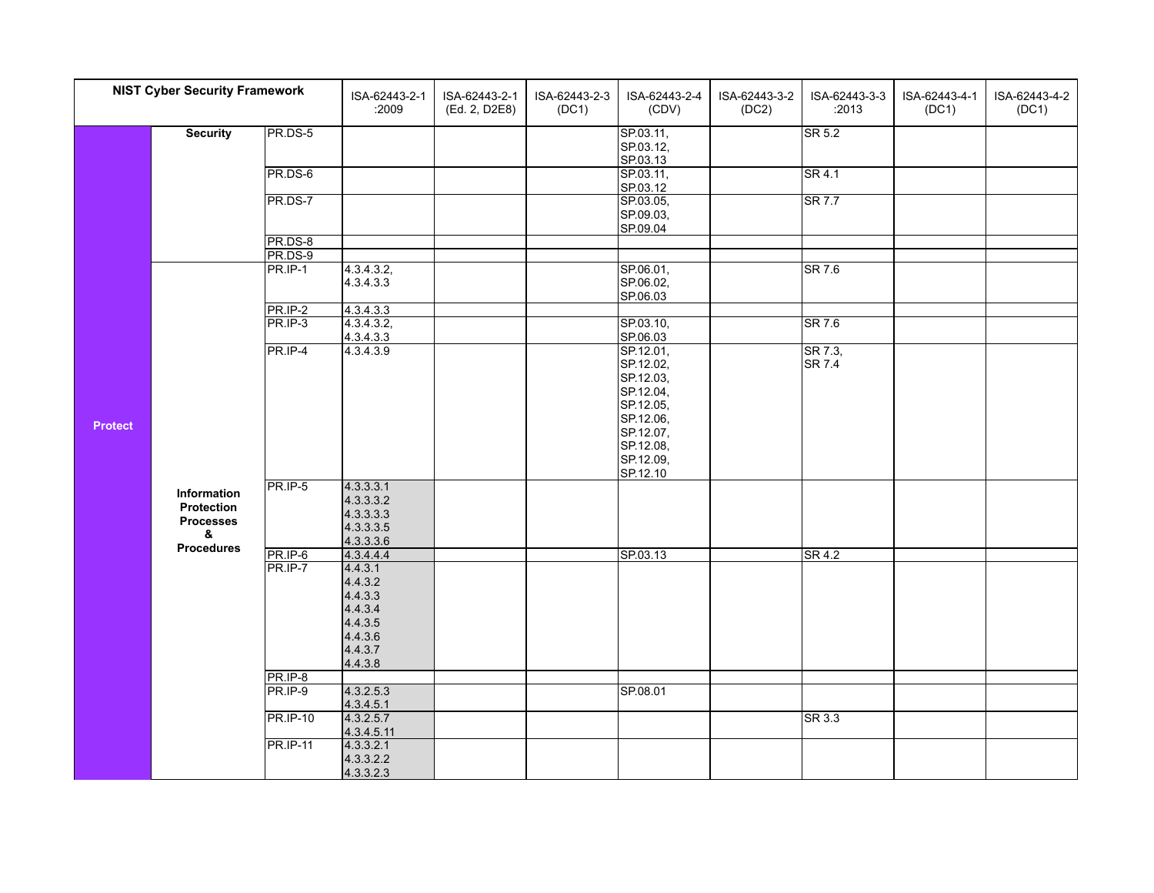| <b>NIST Cyber Security Framework</b> |                                                           |                    | ISA-62443-2-1<br>:2009                                        | ISA-62443-2-1<br>(Ed. 2, D2E8)     | ISA-62443-2-3<br>(DC1) | ISA-62443-2-4<br>(CDV)              | ISA-62443-3-2<br>(DC2) | ISA-62443-3-3<br>:2013                                                                   | ISA-62443-4-1<br>(DC1) | ISA-62443-4-2<br>(DC1) |
|--------------------------------------|-----------------------------------------------------------|--------------------|---------------------------------------------------------------|------------------------------------|------------------------|-------------------------------------|------------------------|------------------------------------------------------------------------------------------|------------------------|------------------------|
|                                      | <b>Security</b>                                           | PR.DS-5            |                                                               |                                    |                        | SP.03.11,<br>SP.03.12,<br>SP.03.13  |                        | SR 5.2                                                                                   |                        |                        |
|                                      |                                                           | PR.DS-6            |                                                               |                                    |                        | SP.03.11,<br>SP.03.12               |                        |                                                                                          |                        |                        |
|                                      |                                                           | PR.DS-7            |                                                               |                                    |                        | SP.03.05,<br>SP.09.03,<br>SP.09.04  |                        |                                                                                          |                        |                        |
|                                      |                                                           | PR.DS-8            |                                                               |                                    |                        |                                     |                        |                                                                                          |                        |                        |
|                                      |                                                           | PR.DS-9            |                                                               |                                    |                        |                                     |                        |                                                                                          |                        |                        |
|                                      |                                                           | PR.IP-1            | 4.3.4.3.2,<br>4.3.4.3.3                                       |                                    |                        | SP.06.01,<br>SP.06.02,<br>SP.06.03  |                        | <b>SR 7.6</b>                                                                            |                        |                        |
|                                      |                                                           | PR.IP-2            | 4.3.4.3.3                                                     |                                    |                        |                                     |                        |                                                                                          |                        |                        |
|                                      |                                                           | PR.IP-3            |                                                               |                                    |                        |                                     |                        |                                                                                          |                        |                        |
|                                      |                                                           |                    | 4.3.4.3.2,<br>4.3.4.3.3                                       |                                    |                        | SP.03.10,<br>SP.06.03               |                        |                                                                                          |                        |                        |
|                                      |                                                           | PR.IP-4            | 4.3.4.3.9                                                     |                                    |                        | SP.12.01,<br>SP.12.02,              |                        | <b>SR 4.1</b><br><b>SR 7.7</b><br>SR 7.6<br>SR 7.3,<br><b>SR 7.4</b><br>SR 4.2<br>SR 3.3 |                        |                        |
|                                      |                                                           |                    |                                                               |                                    |                        | SP.12.03,<br>SP.12.04,<br>SP.12.05, |                        |                                                                                          |                        |                        |
| <b>Protect</b>                       |                                                           |                    |                                                               |                                    |                        | SP.12.06,<br>SP.12.07,              |                        |                                                                                          |                        |                        |
|                                      |                                                           |                    |                                                               | SP.12.08,<br>SP.12.09,<br>SP.12.10 |                        |                                     |                        |                                                                                          |                        |                        |
|                                      | Information<br><b>Protection</b><br><b>Processes</b><br>& | PR.IP-5            | 4.3.3.3.1<br>4.3.3.3.2<br>4.3.3.3.3<br>4.3.3.3.5<br>4.3.3.3.6 |                                    |                        |                                     |                        |                                                                                          |                        |                        |
|                                      | <b>Procedures</b>                                         | PR.IP-6            | 4.3.4.4.4                                                     |                                    |                        | SP.03.13                            |                        |                                                                                          |                        |                        |
|                                      |                                                           | PR.IP-7            | 4.4.3.1                                                       |                                    |                        |                                     |                        |                                                                                          |                        |                        |
|                                      |                                                           |                    | 4.4.3.2                                                       |                                    |                        |                                     |                        |                                                                                          |                        |                        |
|                                      |                                                           |                    | 4.4.3.3<br>4.4.3.4                                            |                                    |                        |                                     |                        |                                                                                          |                        |                        |
|                                      |                                                           |                    | 4.4.3.5<br>4.4.3.6                                            |                                    |                        |                                     |                        |                                                                                          |                        |                        |
|                                      |                                                           |                    | 4.4.3.7                                                       |                                    |                        |                                     |                        |                                                                                          |                        |                        |
|                                      |                                                           |                    | 4.4.3.8                                                       |                                    |                        |                                     |                        |                                                                                          |                        |                        |
|                                      |                                                           | PR.IP-8<br>PR.IP-9 |                                                               |                                    |                        |                                     |                        |                                                                                          |                        |                        |
|                                      |                                                           |                    | 4.3.2.5.3<br>4.3.4.5.1                                        |                                    |                        | SP.08.01                            |                        |                                                                                          |                        |                        |
|                                      |                                                           | <b>PR.IP-10</b>    | 4.3.2.5.7<br>4.3.4.5.11                                       |                                    |                        |                                     |                        |                                                                                          |                        |                        |
|                                      |                                                           | <b>PR.IP-11</b>    | 4.3.3.2.1                                                     |                                    |                        |                                     |                        |                                                                                          |                        |                        |
|                                      |                                                           |                    | 4.3.3.2.2                                                     |                                    |                        |                                     |                        |                                                                                          |                        |                        |
|                                      |                                                           |                    | 4.3.3.2.3                                                     |                                    |                        |                                     |                        |                                                                                          |                        |                        |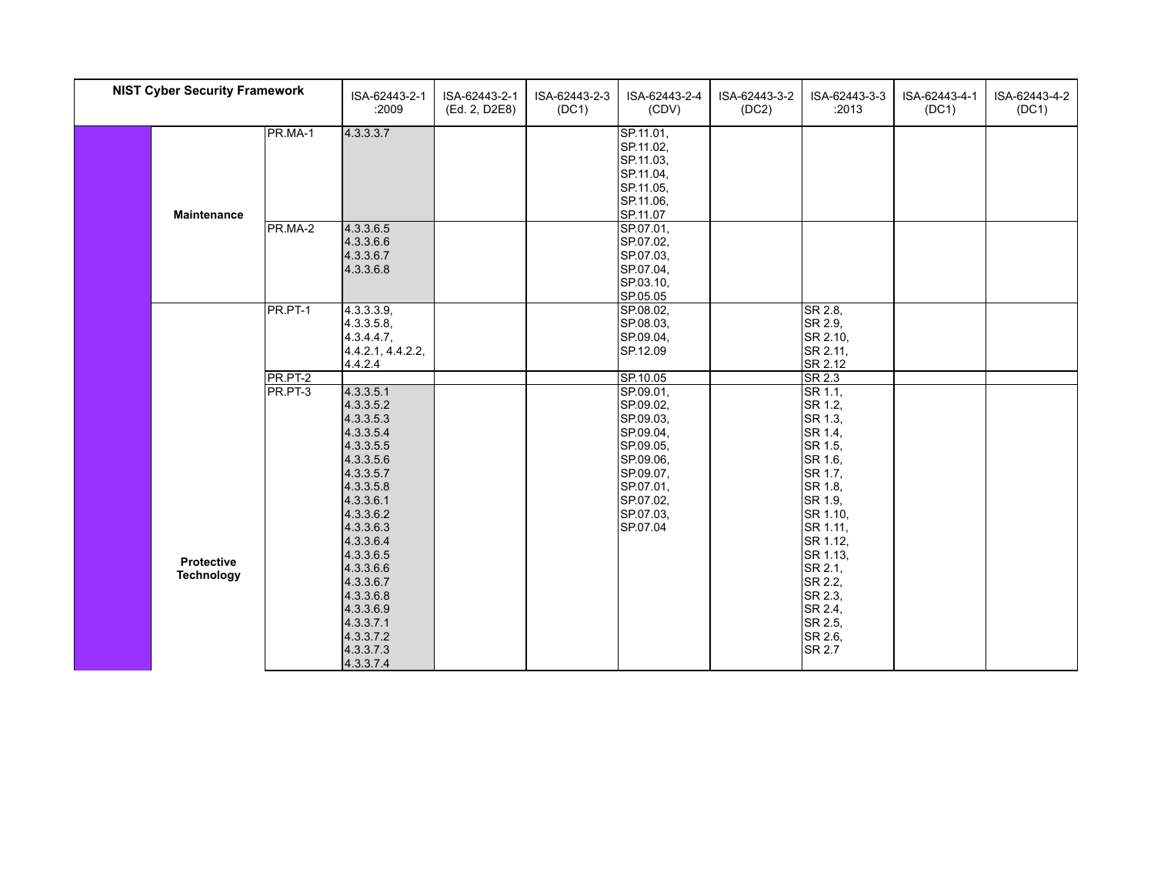| <b>NIST Cyber Security Framework</b> |                                 |                    | ISA-62443-2-1<br>:2009                                                                                            | ISA-62443-2-1<br>(Ed. 2, D2E8) | ISA-62443-2-3<br>(DC1) | ISA-62443-2-4<br>(CDV)                                                                 | ISA-62443-3-2<br>(DC2) | ISA-62443-3-3<br>:2013                                                               | ISA-62443-4-1<br>(DC1) | ISA-62443-4-2<br>(DC1) |
|--------------------------------------|---------------------------------|--------------------|-------------------------------------------------------------------------------------------------------------------|--------------------------------|------------------------|----------------------------------------------------------------------------------------|------------------------|--------------------------------------------------------------------------------------|------------------------|------------------------|
|                                      | <b>Maintenance</b>              | PR.MA-1            | 4.3.3.3.7                                                                                                         |                                |                        | SP.11.01,<br>SP.11.02,<br>SP.11.03,<br>SP.11.04,<br>SP.11.05,<br>SP.11.06,<br>SP.11.07 |                        |                                                                                      |                        |                        |
|                                      |                                 | PR.MA-2            | 4.3.3.6.5<br>4.3.3.6.6<br>4.3.3.6.7<br>4.3.3.6.8                                                                  |                                |                        | SP.07.01,<br>SP.07.02,<br>SP.07.03.<br>SP.07.04,<br>SP.03.10,<br>SP.05.05              |                        |                                                                                      |                        |                        |
|                                      |                                 | PR.PT-1            | 4.3.3.3.9,<br>4.3.3.5.8,<br>$4.3.4.4.7$ ,<br>4.4.2.1, 4.4.2.2,<br>4.4.2.4                                         |                                |                        | SP.08.02,<br>SP.08.03,<br>SP.09.04,<br>SP.12.09                                        |                        | SR 2.8,<br>SR 2.9,<br>SR 2.10,<br>SR 2.11,<br>SR 2.12                                |                        |                        |
|                                      |                                 | PR.PT-2<br>PR.PT-3 | 4.3.3.5.1                                                                                                         |                                |                        | SP.10.05<br>SP.09.01,                                                                  |                        | $S$ R 2.3<br>SR 1.1,                                                                 |                        |                        |
|                                      |                                 |                    | 4.3.3.5.2<br>4.3.3.5.3<br>4.3.3.5.4<br>4.3.3.5.5<br>4.3.3.5.6                                                     |                                |                        | SP.09.02,<br>SP.09.03,<br>SP.09.04,<br>SP.09.05,<br>SP.09.06,                          |                        | SR 1.2,<br>SR 1.3,<br>SR 1.4,<br>SR 1.5,<br>SR 1.6,                                  |                        |                        |
|                                      |                                 |                    | 4.3.3.5.7<br>4.3.3.5.8<br>4.3.3.6.1<br>4.3.3.6.2<br>4.3.3.6.3<br>4.3.3.6.4                                        |                                |                        | SP.09.07,<br>SP.07.01,<br>SP.07.02,<br>SP.07.03,<br>SP.07.04                           |                        | SR 1.7,<br>SR 1.8,<br>SR 1.9,<br>SR 1.10,<br>SR 1.11,<br>SR 1.12,                    |                        |                        |
|                                      | Protective<br><b>Technology</b> |                    | 4.3.3.6.5<br>4.3.3.6.6<br>4.3.3.6.7<br>4.3.3.6.8<br>4.3.3.6.9<br>4.3.3.7.1<br>4.3.3.7.2<br>4.3.3.7.3<br>4.3.3.7.4 |                                |                        |                                                                                        |                        | SR 1.13,<br>SR 2.1,<br>SR 2.2,<br>SR 2.3,<br>SR 2.4,<br>SR 2.5,<br>SR 2.6,<br>SR 2.7 |                        |                        |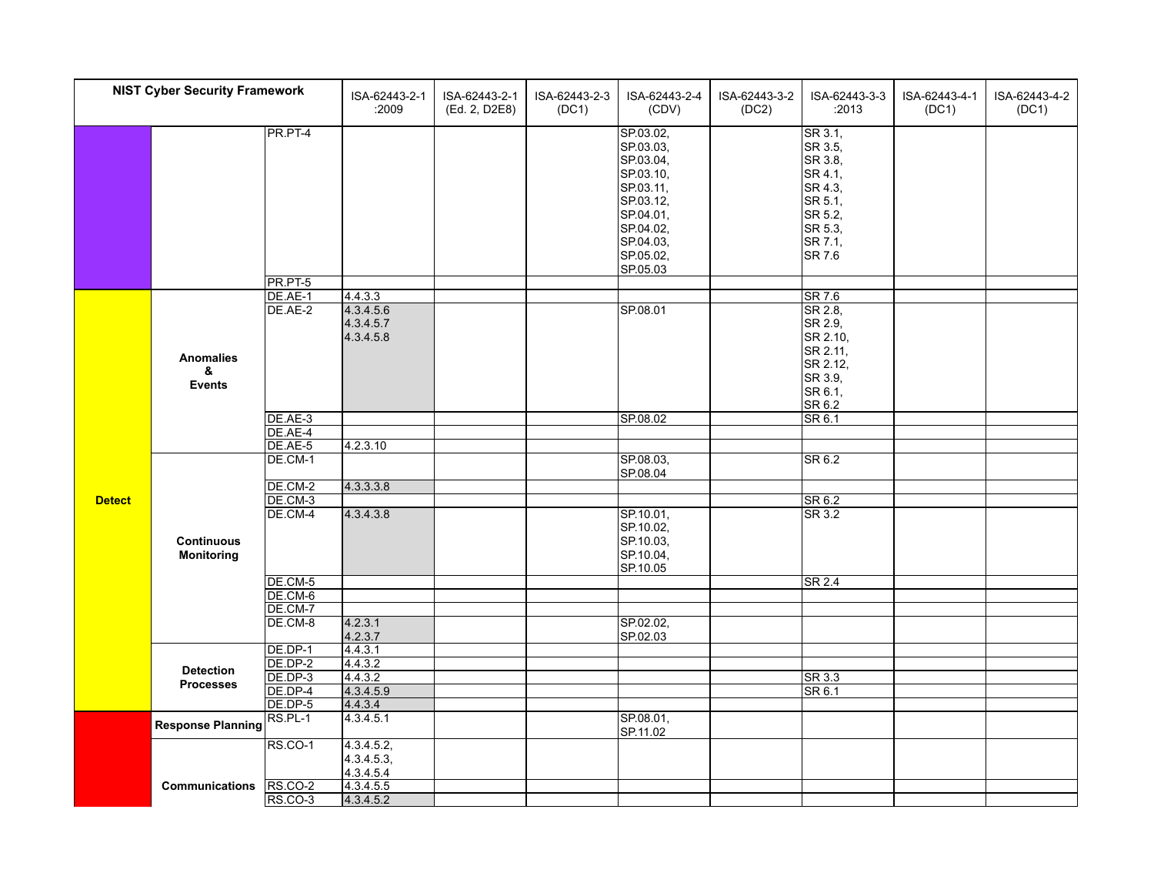| <b>NIST Cyber Security Framework</b> |                                        |                    | ISA-62443-2-1<br>:2009              | ISA-62443-2-1<br>(Ed. 2, D2E8) | ISA-62443-2-3<br>(DC1) | ISA-62443-2-4<br>(CDV)                                                                                                                     | ISA-62443-3-2<br>(DC2) | ISA-62443-3-3<br>:2013                                                                                    | ISA-62443-4-1<br>(DC1) | ISA-62443-4-2<br>(DC1) |
|--------------------------------------|----------------------------------------|--------------------|-------------------------------------|--------------------------------|------------------------|--------------------------------------------------------------------------------------------------------------------------------------------|------------------------|-----------------------------------------------------------------------------------------------------------|------------------------|------------------------|
|                                      |                                        | PR.PT-4<br>PR.PT-5 |                                     |                                |                        | SP.03.02,<br>SP.03.03,<br>SP.03.04,<br>SP.03.10,<br>SP.03.11,<br>SP.03.12,<br>SP.04.01,<br>SP.04.02,<br>SP.04.03,<br>SP.05.02,<br>SP.05.03 |                        | SR 3.1,<br>SR 3.5,<br>SR 3.8,<br>SR 4.1,<br>SR 4.3,<br>SR 5.1,<br>SR 5.2,<br>SR 5.3,<br>SR 7.1,<br>SR 7.6 |                        |                        |
|                                      |                                        | DE.AE-1            | 4.4.3.3                             |                                |                        |                                                                                                                                            |                        | SR 7.6                                                                                                    |                        |                        |
|                                      | <b>Anomalies</b><br>&<br><b>Events</b> | DE.AE-2            | 4.3.4.5.6<br>4.3.4.5.7<br>4.3.4.5.8 |                                |                        | SP.08.01                                                                                                                                   |                        | SR 2.8,<br>SR 2.9,<br>SR 2.10,<br>SR 2.11,<br>SR 2.12,<br>SR 3.9,<br>SR 6.1,<br>SR 6.2                    |                        |                        |
|                                      |                                        | DE.AE-3            |                                     |                                |                        | SP.08.02                                                                                                                                   |                        | S <sub>R</sub> 6.1                                                                                        |                        |                        |
|                                      |                                        | DE.AE-4            |                                     |                                |                        |                                                                                                                                            |                        |                                                                                                           |                        |                        |
|                                      |                                        | DE.AE-5            | 4.2.3.10                            |                                |                        |                                                                                                                                            |                        |                                                                                                           |                        |                        |
|                                      |                                        | DE.CM-1            |                                     |                                |                        | SP.08.03,<br>SP.08.04                                                                                                                      |                        | SR 6.2                                                                                                    |                        |                        |
|                                      |                                        | DE.CM-2            | 4.3.3.3.8                           |                                |                        |                                                                                                                                            |                        |                                                                                                           |                        |                        |
| <b>Detect</b>                        |                                        | DE.CM-3            |                                     |                                |                        |                                                                                                                                            |                        | SR 6.2                                                                                                    |                        |                        |
|                                      | <b>Continuous</b><br><b>Monitoring</b> | DE.CM-4            | 4.3.4.3.8                           |                                |                        | SP.10.01,<br>SP.10.02,<br>SP.10.03,<br>SP.10.04,<br>SP.10.05                                                                               |                        | SR 3.2                                                                                                    |                        |                        |
|                                      |                                        | DE.CM-5            |                                     |                                |                        |                                                                                                                                            |                        | $\overline{\text{SR }2.4}$                                                                                |                        |                        |
|                                      |                                        | DE.CM-6            |                                     |                                |                        |                                                                                                                                            |                        |                                                                                                           |                        |                        |
|                                      |                                        | DE.CM-7            |                                     |                                |                        |                                                                                                                                            |                        |                                                                                                           |                        |                        |
|                                      |                                        | DE.CM-8            | 4.2.3.1                             |                                |                        | SP.02.02,                                                                                                                                  |                        |                                                                                                           |                        |                        |
|                                      |                                        |                    | 4.2.3.7                             |                                |                        | SP.02.03                                                                                                                                   |                        |                                                                                                           |                        |                        |
|                                      |                                        | DE.DP-1            | 4.4.3.1                             |                                |                        |                                                                                                                                            |                        |                                                                                                           |                        |                        |
|                                      | <b>Detection</b>                       | DE.DP-2            | 4.4.3.2                             |                                |                        |                                                                                                                                            |                        |                                                                                                           |                        |                        |
|                                      | <b>Processes</b>                       | DE.DP-3            | 4.4.3.2                             |                                |                        |                                                                                                                                            |                        | SR 3.3                                                                                                    |                        |                        |
|                                      |                                        | DE.DP-4            | 4.3.4.5.9                           |                                |                        |                                                                                                                                            |                        | SR 6.1                                                                                                    |                        |                        |
|                                      |                                        | DE.DP-5            | 4.4.3.4                             |                                |                        |                                                                                                                                            |                        |                                                                                                           |                        |                        |
|                                      | <b>Response Planning</b>               | $RS.PL-1$          | 4.3.4.5.1                           |                                |                        | SP.08.01,<br>SP.11.02                                                                                                                      |                        |                                                                                                           |                        |                        |
|                                      |                                        | RS.CO-1            | 4.3.4.5.2,                          |                                |                        |                                                                                                                                            |                        |                                                                                                           |                        |                        |
|                                      |                                        |                    | 4.3.4.5.3,                          |                                |                        |                                                                                                                                            |                        |                                                                                                           |                        |                        |
|                                      |                                        |                    | 4.3.4.5.4                           |                                |                        |                                                                                                                                            |                        |                                                                                                           |                        |                        |
|                                      | Communications                         | RS.CO-2            | 4.3.4.5.5                           |                                |                        |                                                                                                                                            |                        |                                                                                                           |                        |                        |
|                                      |                                        | RS.CO-3            | 4.3.4.5.2                           |                                |                        |                                                                                                                                            |                        |                                                                                                           |                        |                        |